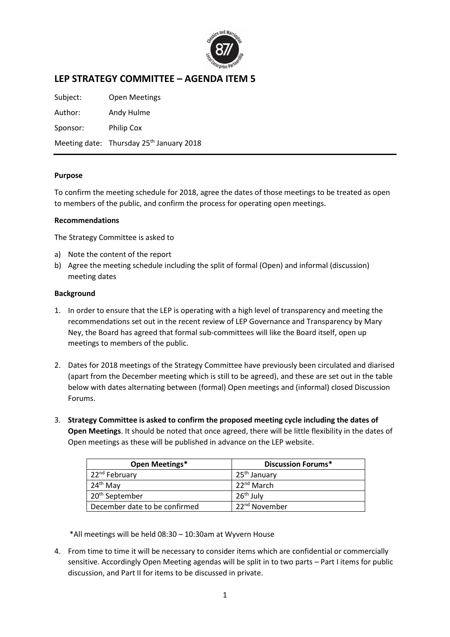

## **LEP STRATEGY COMMITTEE – AGENDA ITEM 5**

Subject: Open Meetings Author: Andy Hulme Sponsor: Philip Cox Meeting date: Thursday 25<sup>th</sup> January 2018

## **Purpose**

To confirm the meeting schedule for 2018, agree the dates of those meetings to be treated as open to members of the public, and confirm the process for operating open meetings.

## **Recommendations**

The Strategy Committee is asked to

- a) Note the content of the report
- b) Agree the meeting schedule including the split of formal (Open) and informal (discussion) meeting dates

## **Background**

- 1. In order to ensure that the LEP is operating with a high level of transparency and meeting the recommendations set out in the recent review of LEP Governance and Transparency by Mary Ney, the Board has agreed that formal sub-committees will like the Board itself, open up meetings to members of the public.
- 2. Dates for 2018 meetings of the Strategy Committee have previously been circulated and diarised (apart from the December meeting which is still to be agreed), and these are set out in the table below with dates alternating between (formal) Open meetings and (informal) closed Discussion Forums.
- 3. **Strategy Committee is asked to confirm the proposed meeting cycle including the dates of Open Meetings**. It should be noted that once agreed, there will be little flexibility in the dates of Open meetings as these will be published in advance on the LEP website.

| Open Meetings*                | <b>Discussion Forums*</b> |
|-------------------------------|---------------------------|
| 22 <sup>nd</sup> February     | 25 <sup>th</sup> January  |
| 24 <sup>th</sup> May          | 22 <sup>nd</sup> March    |
| 20 <sup>th</sup> September    | $26th$ July               |
| December date to be confirmed | 22 <sup>nd</sup> November |

\*All meetings will be held 08:30 – 10:30am at Wyvern House

4. From time to time it will be necessary to consider items which are confidential or commercially sensitive. Accordingly Open Meeting agendas will be split in to two parts – Part I items for public discussion, and Part II for items to be discussed in private.